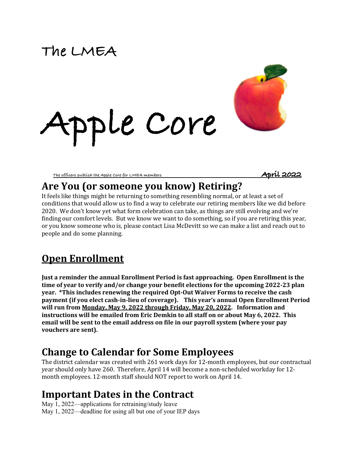# **The LMEA**



**The officers publish the Apple Core for LMEA members April 2022** 

### Are You (or someone you know) Retiring?

It feels like things might be returning to something resembling normal, or at least a set of conditions that would allow us to find a way to celebrate our retiring members like we did before 2020. We don't know yet what form celebration can take, as things are still evolving and we're finding our comfort levels. But we know we want to do something, so if you are retiring this year, or you know someone who is, please contact Lisa McDevitt so we can make a list and reach out to people and do some planning.

# **Open Enrollment**

**Just a reminder the annual Enrollment Period is fast approaching. Open Enrollment is the time of year to verify and/or change your benefit elections for the upcoming 2022-23 plan year.** \*This includes renewing the required Opt-Out Waiver Forms to receive the cash **payment** (if you elect cash-in-lieu of coverage). This year's annual Open Enrollment Period will run from <u>Monday, May 9, 2022 through Friday, May 20, 2022</u>. Information and **instructions will be emailed from Eric Demkin to all staff on or about May 6, 2022. This** email will be sent to the email address on file in our payroll system (where your pay vouchers are sent).

### **Change to Calendar for Some Employees**

The district calendar was created with 261 work days for 12-month employees, but our contractual year should only have 260. Therefore, April 14 will become a non-scheduled workday for 12month employees. 12-month staff should NOT report to work on April 14.

### **Important Dates in the Contract**

May 1, 2022—applications for retraining/study leave May 1, 2022—deadline for using all but one of your IEP days